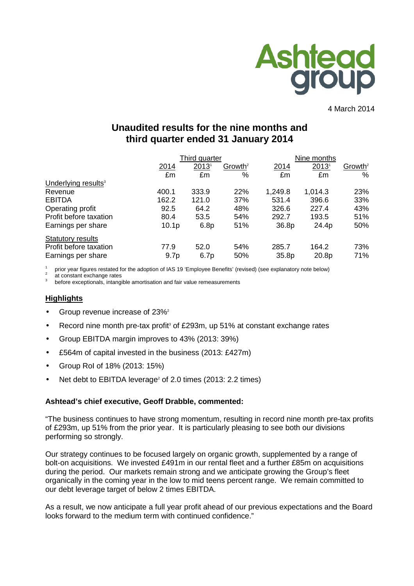

4 March 2014

# **Unaudited results for the nine months and third quarter ended 31 January 2014**

|                                 | Third quarter     |       |                     | Nine months |                   |                     |  |
|---------------------------------|-------------------|-------|---------------------|-------------|-------------------|---------------------|--|
|                                 | 2014              | 2013  | Growth <sup>2</sup> | 2014        | 2013 <sup>1</sup> | Growth <sup>2</sup> |  |
|                                 | £m                | £m    | %                   | £m          | £m                | %                   |  |
| Underlying results <sup>3</sup> |                   |       |                     |             |                   |                     |  |
| Revenue                         | 400.1             | 333.9 | 22%                 | 1,249.8     | 1,014.3           | 23%                 |  |
| <b>EBITDA</b>                   | 162.2             | 121.0 | 37%                 | 531.4       | 396.6             | 33%                 |  |
| Operating profit                | 92.5              | 64.2  | 48%                 | 326.6       | 227.4             | 43%                 |  |
| Profit before taxation          | 80.4              | 53.5  | 54%                 | 292.7       | 193.5             | 51%                 |  |
| Earnings per share              | 10.1 <sub>p</sub> | 6.8p  | 51%                 | 36.8p       | 24.4p             | 50%                 |  |
| <b>Statutory results</b>        |                   |       |                     |             |                   |                     |  |
| Profit before taxation          | 77.9              | 52.0  | 54%                 | 285.7       | 164.2             | 73%                 |  |
| Earnings per share              | 9.7 <sub>p</sub>  | 6.7p  | 50%                 | 35.8p       | 20.8p             | 71%                 |  |

prior year figures restated for the adoption of IAS 19 'Employee Benefits' (revised) (see explanatory note below)<br>
2. at constant exchange rates

at constant exchange rates

3 before exceptionals, intangible amortisation and fair value remeasurements

#### **Highlights**

- Group revenue increase of 23%<sup>2</sup>
- Record nine month pre-tax profit<sup>3</sup> of £293m, up 51% at constant exchange rates
- Group EBITDA margin improves to 43% (2013: 39%)
- £564m of capital invested in the business (2013: £427m)
- Group RoI of 18% (2013: 15%)
- Net debt to EBITDA leverage<sup>2</sup> of 2.0 times (2013: 2.2 times)

#### **Ashtead's chief executive, Geoff Drabble, commented:**

"The business continues to have strong momentum, resulting in record nine month pre-tax profits of £293m, up 51% from the prior year. It is particularly pleasing to see both our divisions performing so strongly.

Our strategy continues to be focused largely on organic growth, supplemented by a range of bolt-on acquisitions. We invested £491m in our rental fleet and a further £85m on acquisitions during the period. Our markets remain strong and we anticipate growing the Group's fleet organically in the coming year in the low to mid teens percent range. We remain committed to our debt leverage target of below 2 times EBITDA.

As a result, we now anticipate a full year profit ahead of our previous expectations and the Board looks forward to the medium term with continued confidence."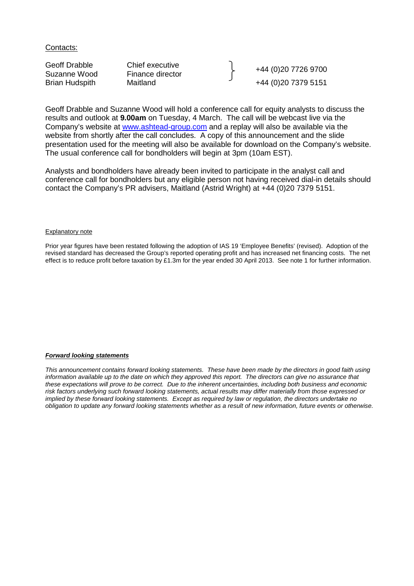Contacts:

Geoff Drabble Chief executive<br>
Suzanne Wood Finance director Finance Herberton (1980) 19726 9700 Brian Hudspith Maitland +44 (0)20 7379 5151

Geoff Drabble and Suzanne Wood will hold a conference call for equity analysts to discuss the results and outlook at **9.00am** on Tuesday, 4 March. The call will be webcast live via the Company's website at www.ashtead-group.com and a replay will also be available via the website from shortly after the call concludes. A copy of this announcement and the slide presentation used for the meeting will also be available for download on the Company's website. The usual conference call for bondholders will begin at 3pm (10am EST).

Analysts and bondholders have already been invited to participate in the analyst call and conference call for bondholders but any eligible person not having received dial-in details should contact the Company's PR advisers, Maitland (Astrid Wright) at +44 (0)20 7379 5151.

#### Explanatory note

Prior year figures have been restated following the adoption of IAS 19 'Employee Benefits' (revised). Adoption of the revised standard has decreased the Group's reported operating profit and has increased net financing costs. The net effect is to reduce profit before taxation by £1.3m for the year ended 30 April 2013. See note 1 for further information.

#### **Forward looking statements**

This announcement contains forward looking statements. These have been made by the directors in good faith using information available up to the date on which they approved this report. The directors can give no assurance that these expectations will prove to be correct. Due to the inherent uncertainties, including both business and economic risk factors underlying such forward looking statements, actual results may differ materially from those expressed or implied by these forward looking statements. Except as required by law or regulation, the directors undertake no obligation to update any forward looking statements whether as a result of new information, future events or otherwise.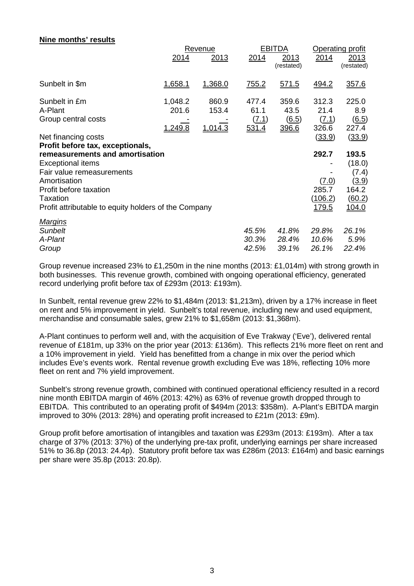| <b>NILE INDITION IBSUILS</b>                         | <u>2014</u> | Revenue<br>2013 | <b>EBITDA</b><br>2014<br>2013 |                     | 2014          | Operating profit<br>2013 |  |
|------------------------------------------------------|-------------|-----------------|-------------------------------|---------------------|---------------|--------------------------|--|
|                                                      |             |                 |                               | (restated)          |               | (restated)               |  |
| Sunbelt in \$m                                       | 1,658.1     | 1,368.0         | <u>755.2</u>                  | 571.5               | 494.2         | 357.6                    |  |
| Sunbelt in £m                                        | 1,048.2     | 860.9           | 477.4                         | 359.6               | 312.3         | 225.0                    |  |
| A-Plant                                              | 201.6       | 153.4           | 61.1                          | 43.5                | 21.4          | 8.9                      |  |
| Group central costs                                  |             |                 | (7.1)                         | $\underline{(6.5)}$ | (7.1)         | $\underline{(6.5)}$      |  |
|                                                      | 1,249.8     | 1,014.3         | 531.4                         | 396.6               | 326.6         | 227.4                    |  |
| Net financing costs                                  |             |                 |                               |                     | (33.9)        | (33.9)                   |  |
| Profit before tax, exceptionals,                     |             |                 |                               |                     |               |                          |  |
| remeasurements and amortisation                      |             |                 |                               |                     | 292.7         | 193.5                    |  |
| <b>Exceptional items</b>                             |             |                 |                               |                     |               | (18.0)                   |  |
| Fair value remeasurements                            |             |                 |                               |                     |               | (7.4)                    |  |
| Amortisation                                         |             |                 |                               |                     | (7.0)         | <u>(3.9)</u>             |  |
| Profit before taxation                               |             |                 |                               |                     | 285.7         | 164.2                    |  |
| Taxation                                             |             |                 |                               |                     | (106.2)       | (60.2)                   |  |
| Profit attributable to equity holders of the Company |             |                 |                               |                     | <u> 179.5</u> | <u> 104.0</u>            |  |
| <b>Margins</b>                                       |             |                 |                               |                     |               |                          |  |
| Sunbelt                                              |             |                 | 45.5%                         | 41.8%               | 29.8%         | 26.1%                    |  |
| A-Plant                                              |             |                 | 30.3%                         | 28.4%               | 10.6%         | 5.9%                     |  |
| Group                                                |             |                 | 42.5%                         | 39.1%               | 26.1%         | 22.4%                    |  |

**Nine months' results** 

Group revenue increased 23% to £1,250m in the nine months (2013: £1,014m) with strong growth in both businesses. This revenue growth, combined with ongoing operational efficiency, generated record underlying profit before tax of £293m (2013: £193m).

In Sunbelt, rental revenue grew 22% to \$1,484m (2013: \$1,213m), driven by a 17% increase in fleet on rent and 5% improvement in yield. Sunbelt's total revenue, including new and used equipment, merchandise and consumable sales, grew 21% to \$1,658m (2013: \$1,368m).

A-Plant continues to perform well and, with the acquisition of Eve Trakway ('Eve'), delivered rental revenue of £181m, up 33% on the prior year (2013: £136m). This reflects 21% more fleet on rent and a 10% improvement in yield. Yield has benefitted from a change in mix over the period which includes Eve's events work. Rental revenue growth excluding Eve was 18%, reflecting 10% more fleet on rent and 7% yield improvement.

Sunbelt's strong revenue growth, combined with continued operational efficiency resulted in a record nine month EBITDA margin of 46% (2013: 42%) as 63% of revenue growth dropped through to EBITDA. This contributed to an operating profit of \$494m (2013: \$358m). A-Plant's EBITDA margin improved to 30% (2013: 28%) and operating profit increased to £21m (2013: £9m).

Group profit before amortisation of intangibles and taxation was £293m (2013: £193m). After a tax charge of 37% (2013: 37%) of the underlying pre-tax profit, underlying earnings per share increased 51% to 36.8p (2013: 24.4p). Statutory profit before tax was £286m (2013: £164m) and basic earnings per share were 35.8p (2013: 20.8p).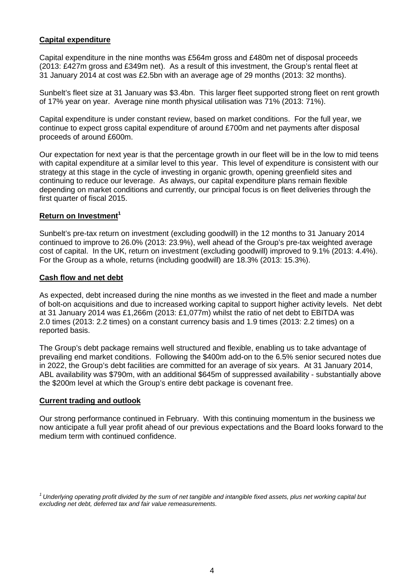## **Capital expenditure**

Capital expenditure in the nine months was £564m gross and £480m net of disposal proceeds (2013: £427m gross and £349m net). As a result of this investment, the Group's rental fleet at 31 January 2014 at cost was £2.5bn with an average age of 29 months (2013: 32 months).

Sunbelt's fleet size at 31 January was \$3.4bn. This larger fleet supported strong fleet on rent growth of 17% year on year. Average nine month physical utilisation was 71% (2013: 71%).

Capital expenditure is under constant review, based on market conditions. For the full year, we continue to expect gross capital expenditure of around £700m and net payments after disposal proceeds of around £600m.

Our expectation for next year is that the percentage growth in our fleet will be in the low to mid teens with capital expenditure at a similar level to this year. This level of expenditure is consistent with our strategy at this stage in the cycle of investing in organic growth, opening greenfield sites and continuing to reduce our leverage. As always, our capital expenditure plans remain flexible depending on market conditions and currently, our principal focus is on fleet deliveries through the first quarter of fiscal 2015.

## **Return on Investment<sup>1</sup>**

Sunbelt's pre-tax return on investment (excluding goodwill) in the 12 months to 31 January 2014 continued to improve to 26.0% (2013: 23.9%), well ahead of the Group's pre-tax weighted average cost of capital. In the UK, return on investment (excluding goodwill) improved to 9.1% (2013: 4.4%). For the Group as a whole, returns (including goodwill) are 18.3% (2013: 15.3%).

#### **Cash flow and net debt**

As expected, debt increased during the nine months as we invested in the fleet and made a number of bolt-on acquisitions and due to increased working capital to support higher activity levels. Net debt at 31 January 2014 was £1,266m (2013: £1,077m) whilst the ratio of net debt to EBITDA was 2.0 times (2013: 2.2 times) on a constant currency basis and 1.9 times (2013: 2.2 times) on a reported basis.

The Group's debt package remains well structured and flexible, enabling us to take advantage of prevailing end market conditions. Following the \$400m add-on to the 6.5% senior secured notes due in 2022, the Group's debt facilities are committed for an average of six years. At 31 January 2014, ABL availability was \$790m, with an additional \$645m of suppressed availability - substantially above the \$200m level at which the Group's entire debt package is covenant free.

#### **Current trading and outlook**

Our strong performance continued in February. With this continuing momentum in the business we now anticipate a full year profit ahead of our previous expectations and the Board looks forward to the medium term with continued confidence.

 $^1$ Underlying operating profit divided by the sum of net tangible and intangible fixed assets, plus net working capital but excluding net debt, deferred tax and fair value remeasurements.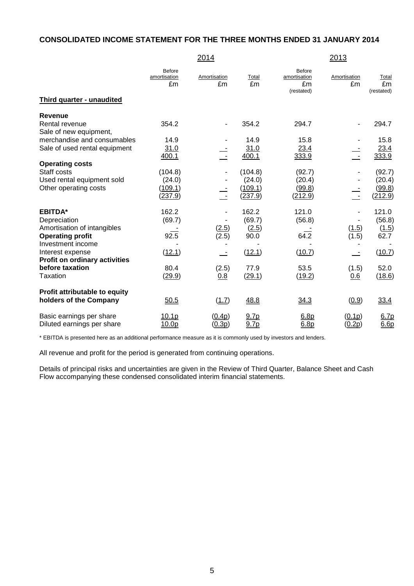## **CONSOLIDATED INCOME STATEMENT FOR THE THREE MONTHS ENDED 31 JANUARY 2014**

|                                                        |                                     | 2014               |                          |                                                   | <u> 2013</u>             |                           |
|--------------------------------------------------------|-------------------------------------|--------------------|--------------------------|---------------------------------------------------|--------------------------|---------------------------|
|                                                        | <b>Before</b><br>amortisation<br>£m | Amortisation<br>£m | Total<br>£m              | <b>Before</b><br>amortisation<br>£m<br>(restated) | Amortisation<br>£m       | Total<br>£m<br>(restated) |
| Third quarter - unaudited                              |                                     |                    |                          |                                                   |                          |                           |
| Revenue                                                |                                     |                    |                          |                                                   |                          |                           |
| Rental revenue<br>Sale of new equipment,               | 354.2                               |                    | 354.2                    | 294.7                                             |                          | 294.7                     |
| merchandise and consumables                            | 14.9                                |                    | 14.9                     | 15.8                                              |                          | 15.8                      |
| Sale of used rental equipment                          | 31.0                                |                    | 31.0                     | 23.4                                              |                          | 23.4                      |
|                                                        | 400.1                               | $\mathbb{Z}^2$     | 400.1                    | 333.9                                             | $\overline{\phantom{a}}$ | 333.9                     |
| <b>Operating costs</b>                                 |                                     |                    |                          |                                                   |                          |                           |
| Staff costs<br>Used rental equipment sold              | (104.8)<br>(24.0)                   |                    | (104.8)<br>(24.0)        | (92.7)<br>(20.4)                                  |                          | (92.7)<br>(20.4)          |
| Other operating costs                                  | (109.1)                             |                    | (109.1)                  | (99.8)                                            |                          | (99.8)                    |
|                                                        | (237.9)                             | $\equiv$           | (237.9)                  | (212.9)                                           | $\equiv$                 | (212.9)                   |
| <b>EBITDA*</b>                                         | 162.2                               |                    | 162.2                    | 121.0                                             |                          | 121.0                     |
| Depreciation                                           | (69.7)                              |                    | (69.7)                   | (56.8)                                            |                          | (56.8)                    |
| Amortisation of intangibles                            |                                     | (2.5)              | (2.5)                    |                                                   | (1.5)                    | (1.5)                     |
| <b>Operating profit</b><br>Investment income           | 92.5                                | (2.5)              | 90.0                     | 64.2                                              | (1.5)                    | 62.7                      |
| Interest expense                                       | (12.1)                              |                    | (12.1)                   | (10.7)                                            |                          | (10.7)                    |
| Profit on ordinary activities                          |                                     |                    |                          |                                                   |                          |                           |
| before taxation                                        | 80.4                                | (2.5)              | 77.9                     | 53.5                                              | (1.5)                    | 52.0                      |
| Taxation                                               | (29.9)                              | 0.8                | (29.1)                   | (19.2)                                            | 0.6                      | (18.6)                    |
| Profit attributable to equity                          |                                     |                    |                          |                                                   |                          |                           |
| holders of the Company                                 | 50.5                                | (1.7)              | 48.8                     | 34.3                                              | (0.9)                    | 33.4                      |
| Basic earnings per share<br>Diluted earnings per share | 10.1p<br>10.0p                      | (0.4p)<br>(0.3p)   | 9.7 <sub>p</sub><br>9.7p | 6.8 <sub>p</sub><br>6.8p                          | (0.1p)<br><u>(0.2p)</u>  | 6.7p<br>6.6p              |
|                                                        |                                     |                    |                          |                                                   |                          |                           |

\* EBITDA is presented here as an additional performance measure as it is commonly used by investors and lenders.

All revenue and profit for the period is generated from continuing operations.

Details of principal risks and uncertainties are given in the Review of Third Quarter, Balance Sheet and Cash Flow accompanying these condensed consolidated interim financial statements.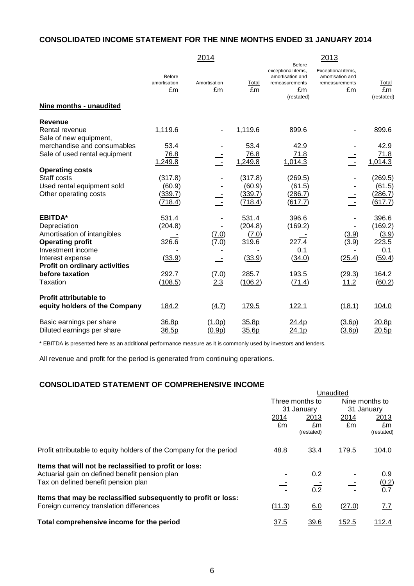## **CONSOLIDATED INCOME STATEMENT FOR THE NINE MONTHS ENDED 31 JANUARY 2014**

|                                                         |                                     | 2014                         |                    |                                                                                               | 2013                                                           |                           |
|---------------------------------------------------------|-------------------------------------|------------------------------|--------------------|-----------------------------------------------------------------------------------------------|----------------------------------------------------------------|---------------------------|
|                                                         | <b>Before</b><br>amortisation<br>£m | Amortisation<br>£m           | Total<br>£m        | <b>Before</b><br>exceptional items,<br>amortisation and<br>remeasurements<br>£m<br>(restated) | Exceptional items,<br>amortisation and<br>remeasurements<br>£m | Total<br>£m<br>(restated) |
| Nine months - unaudited                                 |                                     |                              |                    |                                                                                               |                                                                |                           |
| <b>Revenue</b>                                          |                                     |                              |                    |                                                                                               |                                                                |                           |
| Rental revenue<br>Sale of new equipment,                | 1,119.6                             | $\qquad \qquad \blacksquare$ | 1,119.6            | 899.6                                                                                         |                                                                | 899.6                     |
| merchandise and consumables                             | 53.4                                |                              | 53.4               | 42.9                                                                                          |                                                                | 42.9                      |
| Sale of used rental equipment                           | 76.8<br>1,249.8                     | Ē                            | 76.8<br>1,249.8    | 71.8<br>1,014.3                                                                               | $\equiv$                                                       | 71.8<br>1,014.3           |
| <b>Operating costs</b>                                  |                                     |                              |                    |                                                                                               |                                                                |                           |
| Staff costs                                             | (317.8)                             |                              | (317.8)            | (269.5)                                                                                       |                                                                | (269.5)                   |
| Used rental equipment sold                              | (60.9)                              |                              | (60.9)             | (61.5)                                                                                        |                                                                | (61.5)                    |
| Other operating costs                                   | <u>(339.7)</u><br>(718.4)           | $\sim$ $-$                   | (339.7)<br>(718.4) | (286.7)<br>(617.7)                                                                            | $\sim$                                                         | (286.7)<br>(617.7)        |
| <b>EBITDA*</b>                                          | 531.4                               |                              | 531.4              | 396.6                                                                                         |                                                                | 396.6                     |
| Depreciation                                            | (204.8)                             |                              | (204.8)            | (169.2)                                                                                       |                                                                | (169.2)                   |
| Amortisation of intangibles                             |                                     | (7.0)                        | (7.0)              |                                                                                               | (3.9)                                                          | (3.9)                     |
| <b>Operating profit</b>                                 | 326.6                               | (7.0)                        | 319.6              | 227.4                                                                                         | (3.9)                                                          | 223.5                     |
| Investment income                                       |                                     |                              |                    | 0.1                                                                                           |                                                                | 0.1                       |
| Interest expense                                        | (33.9)                              | $\sim$                       | (33.9)             | (34.0)                                                                                        | (25.4)                                                         | (59.4)                    |
| <b>Profit on ordinary activities</b><br>before taxation | 292.7                               | (7.0)                        | 285.7              | 193.5                                                                                         | (29.3)                                                         | 164.2                     |
| Taxation                                                | (108.5)                             | 2.3                          | (106.2)            | (71.4)                                                                                        | 11.2                                                           | (60.2)                    |
| <b>Profit attributable to</b>                           |                                     |                              |                    |                                                                                               |                                                                |                           |
| equity holders of the Company                           | 184.2                               | (4.7)                        | 179.5              | 122.1                                                                                         | (18.1)                                                         | 104.0                     |
| Basic earnings per share<br>Diluted earnings per share  | 36.8p<br>36.5p                      | (1.0p)<br><u>(0.9p)</u>      | 35.8p<br>35.6p     | 24.4p<br>24.1p                                                                                | (3.6p)<br>(3.6p)                                               | 20.8p<br>20.5p            |

\* EBITDA is presented here as an additional performance measure as it is commonly used by investors and lenders.

All revenue and profit for the period is generated from continuing operations.

### **CONSOLIDATED STATEMENT OF COMPREHENSIVE INCOME**

| <u>UUNUULIPATLP UTATLINLINT ULI UUMITINLIILINUTE INUUMIL</u>                                               |        |                  |        |                  |  |
|------------------------------------------------------------------------------------------------------------|--------|------------------|--------|------------------|--|
|                                                                                                            |        |                  |        |                  |  |
|                                                                                                            |        | Three months to  |        | Nine months to   |  |
|                                                                                                            |        | 31 January       |        | 31 January       |  |
|                                                                                                            | 2014   | 2013             | 2014   | 2013             |  |
|                                                                                                            | £m     | £m<br>(restated) | £m     | £m<br>(restated) |  |
| Profit attributable to equity holders of the Company for the period                                        | 48.8   | 33.4             | 179.5  | 104.0            |  |
| Items that will not be reclassified to profit or loss:                                                     |        |                  |        |                  |  |
| Actuarial gain on defined benefit pension plan                                                             |        | 0.2              |        | 0.9              |  |
| Tax on defined benefit pension plan                                                                        |        | 0.2              |        | (0.2)<br>0.7     |  |
| Items that may be reclassified subsequently to profit or loss:<br>Foreign currency translation differences | (11.3) | 6.0              | (27.0) | 7.7              |  |
| Total comprehensive income for the period                                                                  | 37.5   | 39.6             | 152.5  | 112.4            |  |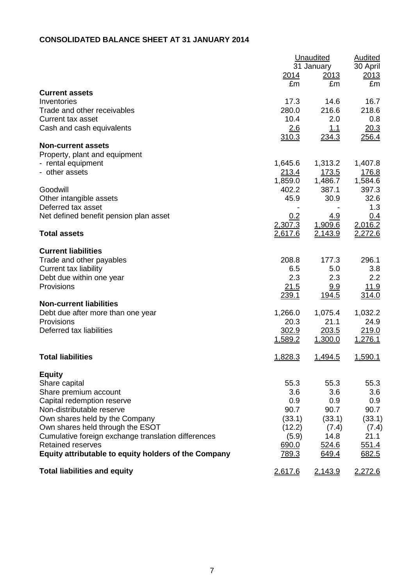## **CONSOLIDATED BALANCE SHEET AT 31 JANUARY 2014**

|                                                      | Unaudited     | <b>Audited</b> |             |
|------------------------------------------------------|---------------|----------------|-------------|
|                                                      |               | 31 January     | 30 April    |
|                                                      | 2014          | <u>2013</u>    | 2013        |
|                                                      | £m            | £m             | £m          |
| <b>Current assets</b>                                |               |                |             |
| Inventories                                          | 17.3          | 14.6           | 16.7        |
| Trade and other receivables                          | 280.0         | 216.6          | 218.6       |
| <b>Current tax asset</b>                             | 10.4          | 2.0            | 0.8         |
| Cash and cash equivalents                            | 2.6           | <u>1.1</u>     | 20.3        |
|                                                      | 310.3         | 234.3          | 256.4       |
| <b>Non-current assets</b>                            |               |                |             |
| Property, plant and equipment                        |               |                |             |
| - rental equipment                                   | 1,645.6       | 1,313.2        | 1,407.8     |
| - other assets                                       | <u> 213.4</u> | <u>173.5</u>   | 176.8       |
|                                                      | 1,859.0       | 1,486.7        | 1,584.6     |
| Goodwill                                             | 402.2         | 387.1          | 397.3       |
|                                                      | 45.9          | 30.9           | 32.6        |
| Other intangible assets<br>Deferred tax asset        |               |                |             |
|                                                      |               |                | 1.3         |
| Net defined benefit pension plan asset               | 0.2           | <u>4.9</u>     | 0.4         |
|                                                      | 2,307.3       | 1,909.6        | 2,016.2     |
| <b>Total assets</b>                                  | 2,617.6       | 2,143.9        | 2,272.6     |
|                                                      |               |                |             |
| <b>Current liabilities</b>                           |               |                |             |
| Trade and other payables                             | 208.8         | 177.3          | 296.1       |
| <b>Current tax liability</b>                         | 6.5           | 5.0            | 3.8         |
| Debt due within one year                             | 2.3           | 2.3            | 2.2         |
| Provisions                                           | 21.5          | <u>9.9</u>     | <u>11.9</u> |
|                                                      | 239.1         | 194.5          | 314.0       |
| <b>Non-current liabilities</b>                       |               |                |             |
| Debt due after more than one year                    | 1,266.0       | 1,075.4        | 1,032.2     |
| Provisions                                           | 20.3          | 21.1           | 24.9        |
| Deferred tax liabilities                             | 302.9         | 203.5          | 219.0       |
|                                                      | 1,589.2       | 1,300.0        | 1,276.1     |
|                                                      |               |                |             |
| <b>Total liabilities</b>                             | 1,828.3       | 1,494.5        | 1,590.1     |
| <b>Equity</b>                                        |               |                |             |
| Share capital                                        | 55.3          | 55.3           | 55.3        |
|                                                      | 3.6           | 3.6            | 3.6         |
| Share premium account                                |               |                |             |
| Capital redemption reserve                           | 0.9           | 0.9            | 0.9         |
| Non-distributable reserve                            | 90.7          | 90.7           | 90.7        |
| Own shares held by the Company                       | (33.1)        | (33.1)         | (33.1)      |
| Own shares held through the ESOT                     | (12.2)        | (7.4)          | (7.4)       |
| Cumulative foreign exchange translation differences  | (5.9)         | 14.8           | 21.1        |
| <b>Retained reserves</b>                             | 690.0         | 524.6          | 551.4       |
| Equity attributable to equity holders of the Company | 789.3         | 649.4          | 682.5       |
| <b>Total liabilities and equity</b>                  | 2,617.6       | 2,143.9        | 2,272.6     |
|                                                      |               |                |             |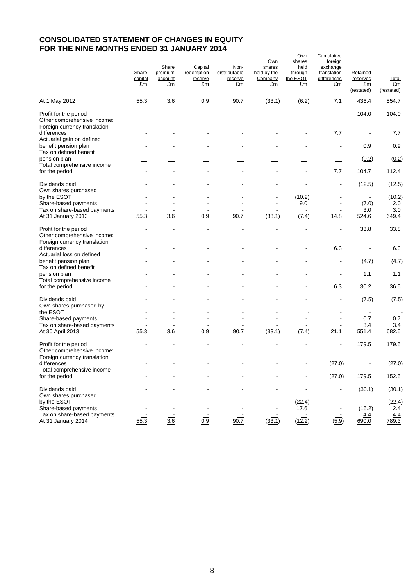## **CONSOLIDATED STATEMENT OF CHANGES IN EQUITY FOR THE NINE MONTHS ENDED 31 JANUARY 2014**

|                                                                                          | Share<br>capital<br>£m | Share<br>premium<br>account<br>£m | Capital<br>redemption<br>reserve<br>£m | Non-<br>distributable<br>reserve<br>£m | Own<br>shares<br>held by the<br>Company<br>£m | Own<br>shares<br>held<br>through<br>the ESOT<br>£m | Cumulative<br>foreign<br>exchange<br>translation<br>differences<br>£m | Retained<br>reserves<br>£m<br>(restated) | <b>Total</b><br>£m<br>(restated) |
|------------------------------------------------------------------------------------------|------------------------|-----------------------------------|----------------------------------------|----------------------------------------|-----------------------------------------------|----------------------------------------------------|-----------------------------------------------------------------------|------------------------------------------|----------------------------------|
| At 1 May 2012                                                                            | 55.3                   | 3.6                               | 0.9                                    | 90.7                                   | (33.1)                                        | (6.2)                                              | 7.1                                                                   | 436.4                                    | 554.7                            |
| Profit for the period<br>Other comprehensive income:<br>Foreign currency translation     |                        |                                   |                                        |                                        |                                               |                                                    |                                                                       | 104.0                                    | 104.0                            |
| differences<br>Actuarial gain on defined                                                 |                        |                                   |                                        |                                        |                                               |                                                    | 7.7                                                                   |                                          | 7.7                              |
| benefit pension plan<br>Tax on defined benefit                                           |                        |                                   |                                        |                                        |                                               |                                                    |                                                                       | 0.9                                      | 0.9                              |
| pension plan<br>Total comprehensive income                                               |                        |                                   |                                        |                                        |                                               |                                                    | $\equiv$                                                              | (0.2)                                    | (0.2)                            |
| for the period                                                                           |                        |                                   |                                        |                                        |                                               |                                                    | <u>7.7</u>                                                            | 104.7                                    | 112.4                            |
| Dividends paid<br>Own shares purchased                                                   |                        |                                   |                                        |                                        |                                               |                                                    |                                                                       | (12.5)                                   | (12.5)                           |
| by the ESOT<br>Share-based payments                                                      |                        |                                   |                                        |                                        |                                               | (10.2)<br>9.0                                      |                                                                       | (7.0)                                    | (10.2)<br>2.0                    |
| Tax on share-based payments<br>At 31 January 2013                                        | 55.3                   | $\frac{1}{3.6}$                   | $\overline{0.9}$                       | 90.7                                   | (33.1)                                        | (7.4)                                              | 14.8                                                                  | 3.0<br>524.6                             | 3.0<br>649.4                     |
| Profit for the period<br>Other comprehensive income:                                     |                        |                                   |                                        |                                        |                                               |                                                    | $\overline{\phantom{a}}$                                              | 33.8                                     | 33.8                             |
| Foreign currency translation<br>differences<br>Actuarial loss on defined                 |                        |                                   |                                        |                                        |                                               |                                                    | 6.3                                                                   |                                          | 6.3                              |
| benefit pension plan<br>Tax on defined benefit                                           |                        |                                   |                                        |                                        |                                               |                                                    |                                                                       | (4.7)                                    | (4.7)                            |
| pension plan<br>Total comprehensive income                                               |                        |                                   |                                        |                                        |                                               |                                                    | $\equiv$                                                              | 1.1                                      | 1.1                              |
| for the period                                                                           |                        |                                   |                                        | $\equiv$                               |                                               |                                                    | 6.3                                                                   | 30.2                                     | 36.5                             |
| Dividends paid<br>Own shares purchased by                                                |                        |                                   |                                        |                                        |                                               |                                                    |                                                                       | (7.5)                                    | (7.5)                            |
| the ESOT                                                                                 |                        |                                   |                                        |                                        |                                               |                                                    |                                                                       |                                          |                                  |
| Share-based payments<br>Tax on share-based payments                                      |                        |                                   |                                        |                                        |                                               |                                                    |                                                                       | 0.7<br>3.4                               | 0.7<br>3.4                       |
| At 30 April 2013                                                                         | 55.3                   | 3.6                               | 0.9                                    | $90.\overline{7}$                      | (33.1)                                        | $(\overline{7.4})$                                 | 21.1                                                                  | 551.4                                    | 682.5                            |
| Profit for the period<br>Other comprehensive income:<br>Foreign currency translation     |                        |                                   |                                        |                                        |                                               |                                                    |                                                                       | 179.5                                    | 179.5                            |
| differences<br>Total comprehensive income                                                |                        |                                   |                                        |                                        |                                               |                                                    | (27.0)                                                                |                                          | (27.0)                           |
| for the period                                                                           |                        |                                   |                                        |                                        |                                               |                                                    | (27.0)                                                                | 179.5                                    | 152.5                            |
| Dividends paid<br>Own shares purchased                                                   |                        |                                   |                                        |                                        |                                               |                                                    |                                                                       | (30.1)                                   | (30.1)                           |
| by the ESOT<br>Share-based payments<br>Tax on share-based payments<br>At 31 January 2014 | 55.3                   | 36                                | 0.9                                    | 90.7                                   | (33.1)                                        | (22.4)<br>17.6<br>(12.2)                           | (5.9)                                                                 | (15.2)<br>4.4<br>690.0                   | (22.4)<br>2.4<br>4.4<br>789.3    |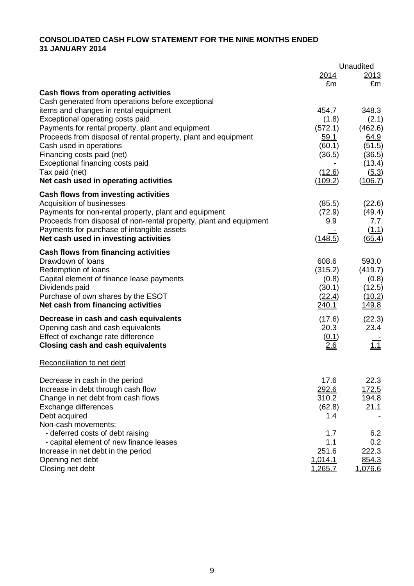## **CONSOLIDATED CASH FLOW STATEMENT FOR THE NINE MONTHS ENDED 31 JANUARY 2014**

|                                                                                           |                    | Unaudited                 |
|-------------------------------------------------------------------------------------------|--------------------|---------------------------|
|                                                                                           | 2014               | <u> 2013</u>              |
|                                                                                           | £m                 | £m                        |
| Cash flows from operating activities<br>Cash generated from operations before exceptional |                    |                           |
| items and changes in rental equipment                                                     | 454.7              | 348.3                     |
| Exceptional operating costs paid                                                          | (1.8)              | (2.1)                     |
| Payments for rental property, plant and equipment                                         | (572.1)            | (462.6)                   |
| Proceeds from disposal of rental property, plant and equipment                            | <u>59.1</u>        | 64.9                      |
| Cash used in operations                                                                   | (60.1)             | (51.5)                    |
| Financing costs paid (net)                                                                | (36.5)             | (36.5)                    |
| Exceptional financing costs paid                                                          |                    | (13.4)                    |
| Tax paid (net)                                                                            | (12.6)             | (5.3)                     |
| Net cash used in operating activities                                                     | <u>(109.2)</u>     | (106.7)                   |
| Cash flows from investing activities                                                      |                    |                           |
| Acquisition of businesses                                                                 | (85.5)             | (22.6)                    |
| Payments for non-rental property, plant and equipment                                     | (72.9)             | (49.4)                    |
| Proceeds from disposal of non-rental property, plant and equipment                        | 9.9                | 7.7                       |
| Payments for purchase of intangible assets                                                |                    | (1.1)                     |
| Net cash used in investing activities                                                     | (148.5)            | (65.4)                    |
| Cash flows from financing activities                                                      |                    |                           |
| Drawdown of loans                                                                         | 608.6              | 593.0                     |
| Redemption of loans                                                                       | (315.2)            | (419.7)                   |
| Capital element of finance lease payments                                                 | (0.8)              | (0.8)                     |
| Dividends paid                                                                            | (30.1)             | (12.5)                    |
| Purchase of own shares by the ESOT                                                        | (22.4)             | (10.2)                    |
| Net cash from financing activities                                                        | 240.1              | <u> 149.8</u>             |
| Decrease in cash and cash equivalents                                                     | (17.6)             | (22.3)                    |
| Opening cash and cash equivalents                                                         | 20.3               | 23.4                      |
| Effect of exchange rate difference                                                        | (0.1)              |                           |
| <b>Closing cash and cash equivalents</b>                                                  | 26                 | $\overline{\mathtt{\Xi}}$ |
| Reconciliation to net debt                                                                |                    |                           |
| Decrease in cash in the period                                                            | 17.6               | 22.3                      |
| Increase in debt through cash flow                                                        | 292.6              | 172.5                     |
| Change in net debt from cash flows                                                        | 310.2              | 194.8                     |
| Exchange differences                                                                      | (62.8)             | 21.1                      |
| Debt acquired                                                                             | 1.4                |                           |
| Non-cash movements:                                                                       |                    |                           |
| - deferred costs of debt raising                                                          | 1.7                | 6.2                       |
| - capital element of new finance leases                                                   | 1.1<br>251.6       | 0.2<br>222.3              |
| Increase in net debt in the period                                                        |                    |                           |
| Opening net debt<br>Closing net debt                                                      | 1,014.1<br>1,265.7 | 854.3<br><u>1,076.6</u>   |
|                                                                                           |                    |                           |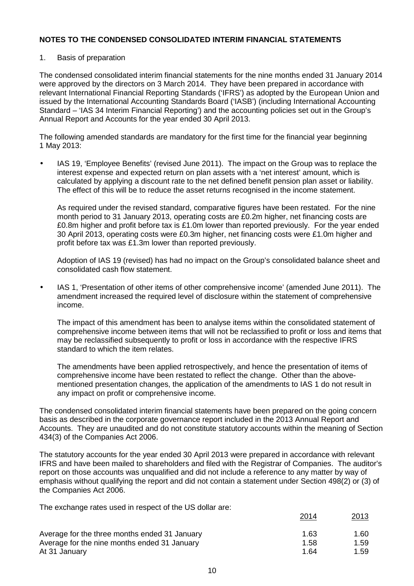## 1. Basis of preparation

The condensed consolidated interim financial statements for the nine months ended 31 January 2014 were approved by the directors on 3 March 2014. They have been prepared in accordance with relevant International Financial Reporting Standards ('IFRS') as adopted by the European Union and issued by the International Accounting Standards Board ('IASB') (including International Accounting Standard – 'IAS 34 Interim Financial Reporting') and the accounting policies set out in the Group's Annual Report and Accounts for the year ended 30 April 2013.

The following amended standards are mandatory for the first time for the financial year beginning 1 May 2013:

• IAS 19, 'Employee Benefits' (revised June 2011). The impact on the Group was to replace the interest expense and expected return on plan assets with a 'net interest' amount, which is calculated by applying a discount rate to the net defined benefit pension plan asset or liability. The effect of this will be to reduce the asset returns recognised in the income statement.

As required under the revised standard, comparative figures have been restated. For the nine month period to 31 January 2013, operating costs are £0.2m higher, net financing costs are £0.8m higher and profit before tax is £1.0m lower than reported previously. For the year ended 30 April 2013, operating costs were £0.3m higher, net financing costs were £1.0m higher and profit before tax was £1.3m lower than reported previously.

Adoption of IAS 19 (revised) has had no impact on the Group's consolidated balance sheet and consolidated cash flow statement.

• IAS 1, 'Presentation of other items of other comprehensive income' (amended June 2011). The amendment increased the required level of disclosure within the statement of comprehensive income.

The impact of this amendment has been to analyse items within the consolidated statement of comprehensive income between items that will not be reclassified to profit or loss and items that may be reclassified subsequently to profit or loss in accordance with the respective IFRS standard to which the item relates.

The amendments have been applied retrospectively, and hence the presentation of items of comprehensive income have been restated to reflect the change. Other than the abovementioned presentation changes, the application of the amendments to IAS 1 do not result in any impact on profit or comprehensive income.

The condensed consolidated interim financial statements have been prepared on the going concern basis as described in the corporate governance report included in the 2013 Annual Report and Accounts. They are unaudited and do not constitute statutory accounts within the meaning of Section 434(3) of the Companies Act 2006.

The statutory accounts for the year ended 30 April 2013 were prepared in accordance with relevant IFRS and have been mailed to shareholders and filed with the Registrar of Companies. The auditor's report on those accounts was unqualified and did not include a reference to any matter by way of emphasis without qualifying the report and did not contain a statement under Section 498(2) or (3) of the Companies Act 2006.

The exchange rates used in respect of the US dollar are:

|                                               | <u> 2014</u> | <u>2013</u> |
|-----------------------------------------------|--------------|-------------|
| Average for the three months ended 31 January | 1.63         | 1.60        |
| Average for the nine months ended 31 January  | 1.58         | 1.59        |
| At 31 January                                 | 1.64         | 1.59        |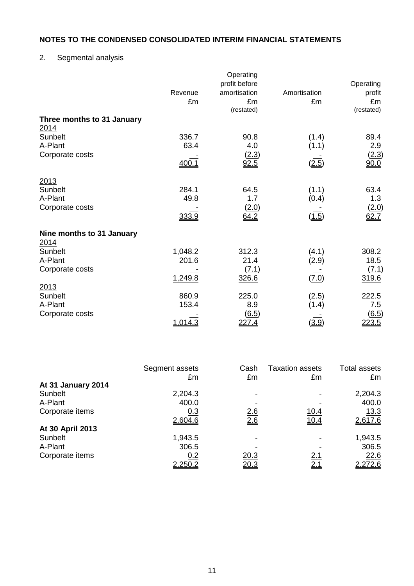## 2. Segmental analysis

|                            | Revenue<br>£m | Operating<br>profit before<br>amortisation<br>£m<br>(restated) | <b>Amortisation</b><br>£m | Operating<br>profit<br>£m<br>(restated) |
|----------------------------|---------------|----------------------------------------------------------------|---------------------------|-----------------------------------------|
| Three months to 31 January |               |                                                                |                           |                                         |
| 2014                       |               |                                                                |                           |                                         |
| Sunbelt                    | 336.7         | 90.8                                                           | (1.4)                     | 89.4                                    |
| A-Plant                    | 63.4          | 4.0                                                            | (1.1)                     | 2.9                                     |
| Corporate costs            |               | (2.3)                                                          |                           | <u>(2.3)</u>                            |
|                            | 400.1         | 92.5                                                           | (2.5)                     | 90.0                                    |
| 2013                       |               |                                                                |                           |                                         |
| Sunbelt                    | 284.1         | 64.5                                                           | (1.1)                     | 63.4                                    |
| A-Plant                    | 49.8          | 1.7                                                            | (0.4)                     | 1.3                                     |
| Corporate costs            |               | (2.0)                                                          |                           | (2.0)                                   |
|                            | 333.9         | 64.2                                                           | (1.5)                     | 62.7                                    |
| Nine months to 31 January  |               |                                                                |                           |                                         |
| 2014<br><b>Sunbelt</b>     | 1,048.2       | 312.3                                                          | (4.1)                     | 308.2                                   |
| A-Plant                    | 201.6         | 21.4                                                           | (2.9)                     | 18.5                                    |
| Corporate costs            |               | (7.1)                                                          |                           | <u>(7.1)</u>                            |
|                            | 1,249.8       | 326.6                                                          | (7.0)                     | 319.6                                   |
| 2013                       |               |                                                                |                           |                                         |
| Sunbelt                    | 860.9         | 225.0                                                          | (2.5)                     | 222.5                                   |
| A-Plant                    | 153.4         | 8.9                                                            | (1.4)                     | 7.5                                     |
| Corporate costs            |               | $\underline{(6.5)}$                                            |                           | $\underline{(6.5)}$                     |
|                            | 1,014.3       | <u>227.4</u>                                                   | (3.9)                     | 223.5                                   |

|                    | Segment assets | Cash       | Taxation assets | Total assets |
|--------------------|----------------|------------|-----------------|--------------|
|                    | £m             | £m         | £m              | £m           |
| At 31 January 2014 |                |            |                 |              |
| Sunbelt            | 2,204.3        |            |                 | 2,204.3      |
| A-Plant            | 400.0          |            |                 | 400.0        |
| Corporate items    | 0.3            | <u>2.6</u> | <u>10.4</u>     | 13.3         |
|                    | 2,604.6        | 2.6        | 10.4            | 2,617.6      |
| At 30 April 2013   |                |            |                 |              |
| Sunbelt            | 1,943.5        |            |                 | 1,943.5      |
| A-Plant            | 306.5          |            |                 | 306.5        |
| Corporate items    | 0.2            | 20.3       | <u>2.1</u>      | 22.6         |
|                    | 2,250.2        | 20.3       | <u>2.1</u>      | 2,272.6      |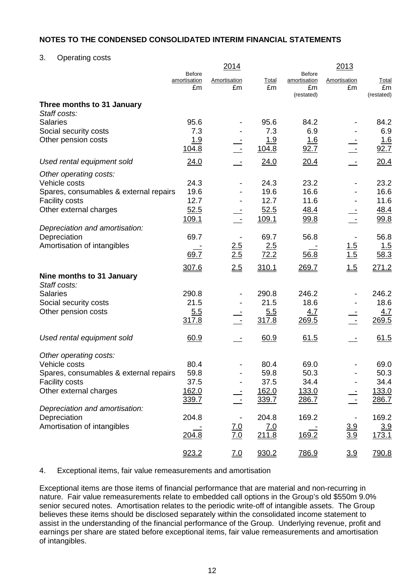3. Operating costs

|                                          |                                     | 2014                      |                     |                                                   | 2013               |                                  |
|------------------------------------------|-------------------------------------|---------------------------|---------------------|---------------------------------------------------|--------------------|----------------------------------|
|                                          | <b>Before</b><br>amortisation<br>£m | <b>Amortisation</b><br>£m | <b>Total</b><br>£m  | <b>Before</b><br>amortisation<br>£m<br>(restated) | Amortisation<br>£m | <b>Total</b><br>£m<br>(restated) |
| Three months to 31 January               |                                     |                           |                     |                                                   |                    |                                  |
| Staff costs:                             |                                     |                           |                     |                                                   |                    |                                  |
| <b>Salaries</b>                          | 95.6                                |                           | 95.6                | 84.2                                              |                    | 84.2                             |
| Social security costs                    | 7.3                                 |                           | 7.3                 | 6.9                                               |                    | 6.9                              |
| Other pension costs                      | <u>1.9</u><br>104.8                 |                           | <u>1.9</u><br>104.8 | <u> 1.6</u><br>92.7                               |                    | <u> 1.6</u><br>92.7              |
| Used rental equipment sold               | 24.0                                |                           | 24.0                | 20.4                                              |                    | 20.4                             |
| Other operating costs:                   |                                     |                           |                     |                                                   |                    |                                  |
| Vehicle costs                            | 24.3                                |                           | 24.3                | 23.2                                              |                    | 23.2                             |
| Spares, consumables & external repairs   | 19.6                                |                           | 19.6                | 16.6                                              |                    | 16.6                             |
| <b>Facility costs</b>                    | 12.7                                |                           | 12.7                | 11.6                                              |                    | 11.6                             |
| Other external charges                   | 52.5                                |                           | 52.5                | 48.4                                              |                    | 48.4                             |
| Depreciation and amortisation:           | 109.1                               | $\sim$ $-$                | 109.1               | 99.8                                              |                    | 99.8                             |
| Depreciation                             | 69.7                                |                           | 69.7                | 56.8                                              |                    | 56.8                             |
| Amortisation of intangibles              |                                     |                           | 2.5                 |                                                   |                    | <u> 1.5</u>                      |
|                                          | 69.7                                | $\frac{2.5}{2.5}$         | 72.2                | 56.8                                              | $\frac{1.5}{1.5}$  | 58.3                             |
|                                          | 307.6                               | 2.5                       | 310.1               | 269.7                                             | 1.5                | 271.2                            |
| Nine months to 31 January                |                                     |                           |                     |                                                   |                    |                                  |
| Staff costs:                             |                                     |                           |                     |                                                   |                    |                                  |
| <b>Salaries</b><br>Social security costs | 290.8<br>21.5                       |                           | 290.8<br>21.5       | 246.2<br>18.6                                     |                    | 246.2<br>18.6                    |
| Other pension costs                      | 5.5                                 |                           | 5.5                 | 4.7                                               |                    | 4.7                              |
|                                          | 317.8                               |                           | 317.8               | 269.5                                             |                    | 269.5                            |
| Used rental equipment sold               | 60.9                                |                           | 60.9                | 61.5                                              |                    | 61.5                             |
|                                          |                                     |                           |                     |                                                   |                    |                                  |
| Other operating costs:                   |                                     |                           |                     |                                                   |                    |                                  |
| Vehicle costs                            | 80.4                                |                           | 80.4                | 69.0                                              |                    | 69.0                             |
| Spares, consumables & external repairs   | 59.8                                |                           | 59.8                | 50.3                                              |                    | 50.3                             |
| <b>Facility costs</b>                    | 37.5                                |                           | 37.5                | 34.4                                              |                    | 34.4                             |
| Other external charges                   | 162.0                               |                           | 162.0               | 133.0                                             |                    | 133.0                            |
| Depreciation and amortisation:           | 339.7                               |                           | 339.7               | 286.7                                             |                    | <u>286.7</u>                     |
| Depreciation                             | 204.8                               |                           | 204.8               | 169.2                                             |                    | 169.2                            |
| Amortisation of intangibles              |                                     |                           | <u>7.0</u>          |                                                   |                    | <u>3.9</u>                       |
|                                          | 204.8                               | $\frac{7.0}{7.0}$         | 211.8               | 169.2                                             | $\frac{3.9}{3.9}$  | 173.1                            |
|                                          | 923.2                               | 7.0                       | 930.2               | 786.9                                             | 3.9                | 790.8                            |

#### 4. Exceptional items, fair value remeasurements and amortisation

Exceptional items are those items of financial performance that are material and non-recurring in nature. Fair value remeasurements relate to embedded call options in the Group's old \$550m 9.0% senior secured notes. Amortisation relates to the periodic write-off of intangible assets. The Group believes these items should be disclosed separately within the consolidated income statement to assist in the understanding of the financial performance of the Group. Underlying revenue, profit and earnings per share are stated before exceptional items, fair value remeasurements and amortisation of intangibles.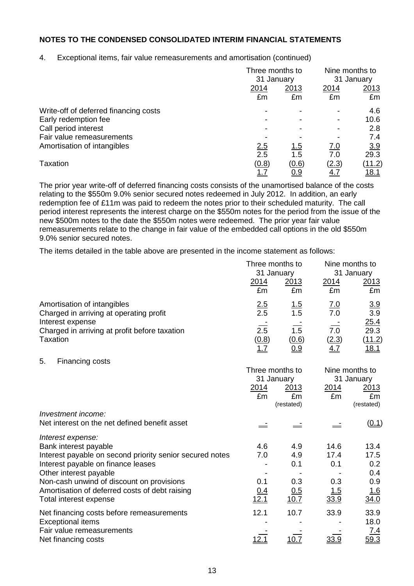4. Exceptional items, fair value remeasurements and amortisation (continued)

|                                       |            | Three months to<br>31 January |              | Nine months to<br>31 January |
|---------------------------------------|------------|-------------------------------|--------------|------------------------------|
|                                       | 2014<br>£m | 2013<br>£m                    | 2014<br>£m   | <u> 2013 </u><br>£m          |
| Write-off of deferred financing costs |            |                               |              | 4.6                          |
| Early redemption fee                  |            |                               |              | 10.6                         |
| Call period interest                  |            |                               |              | 2.8                          |
| Fair value remeasurements             |            |                               |              | 7.4                          |
| Amortisation of intangibles           | <u>2.5</u> | <u>1.5</u>                    | <u>7.0</u>   | 3.9                          |
|                                       | 2.5        | 1.5                           | 7.0          | 29.3                         |
| <b>Taxation</b>                       | (0.8)      | (0.6)                         | <u>(2.3)</u> | (11.2)                       |
|                                       | 1.7        | <u>0.9</u>                    | <u>4.7</u>   | <u> 18.1</u>                 |

The prior year write-off of deferred financing costs consists of the unamortised balance of the costs relating to the \$550m 9.0% senior secured notes redeemed in July 2012. In addition, an early redemption fee of £11m was paid to redeem the notes prior to their scheduled maturity. The call period interest represents the interest charge on the \$550m notes for the period from the issue of the new \$500m notes to the date the \$550m notes were redeemed. The prior year fair value remeasurements relate to the change in fair value of the embedded call options in the old \$550m 9.0% senior secured notes.

The items detailed in the table above are presented in the income statement as follows:

|                                                                        | Three months to<br>31 January |                    | Nine months to<br>31 January |                       |  |
|------------------------------------------------------------------------|-------------------------------|--------------------|------------------------------|-----------------------|--|
|                                                                        | 2014<br>£m                    | 2013<br>£m         | 2014<br>£m                   | 2013<br>£m            |  |
| Amortisation of intangibles<br>Charged in arriving at operating profit | $\frac{2.5}{2.5}$             | <u> 1.5</u><br>1.5 | <u>7.0</u><br>7.0            | $\frac{3.9}{3.9}$     |  |
| Interest expense                                                       |                               |                    |                              | 25.4                  |  |
| Charged in arriving at profit before taxation                          | $\overline{2.5}$              | 1.5                | 7.0                          | $\overline{29.3}$     |  |
| <b>Taxation</b>                                                        | (0.8)<br>1.7                  | (0.6)<br>0.9       | (2.3)<br>4.7                 | (11.2)<br><u>18.1</u> |  |
| 5.<br>Financing costs                                                  |                               |                    |                              |                       |  |
|                                                                        | Three months to<br>31 January |                    | Nine months to               | 31 January            |  |
|                                                                        | 2014                          | 2013               | 2014                         | <u>2013</u>           |  |
|                                                                        | £m                            | £m                 | £m                           | £m                    |  |
|                                                                        |                               | (restated)         |                              | (restated)            |  |
| Investment income:<br>Net interest on the net defined benefit asset    |                               |                    |                              |                       |  |
|                                                                        |                               |                    |                              | (0.1)                 |  |
| Interest expense:                                                      |                               |                    |                              |                       |  |
| Bank interest payable                                                  | 4.6                           | 4.9                | 14.6                         | 13.4                  |  |
| Interest payable on second priority senior secured notes               | 7.0                           | 4.9                | 17.4                         | 17.5                  |  |
| Interest payable on finance leases                                     |                               | 0.1                | 0.1                          | 0.2<br>0.4            |  |
| Other interest payable<br>Non-cash unwind of discount on provisions    | 0.1                           | 0.3                | 0.3                          | 0.9                   |  |
| Amortisation of deferred costs of debt raising                         | <u>0.4</u>                    | 0.5                | <u>1.5</u>                   | <u> 1.6</u>           |  |
| Total interest expense                                                 | <u>12.1</u>                   | 10.7               | 33.9                         | <u>34.0</u>           |  |
| Net financing costs before remeasurements                              | 12.1                          | 10.7               | 33.9                         | 33.9                  |  |
| <b>Exceptional items</b>                                               |                               |                    |                              | 18.0                  |  |
| Fair value remeasurements<br>Net financing costs                       | <u> 12.1</u>                  | 10.7               | 33.9                         | 7.4<br>59.3           |  |
|                                                                        |                               |                    |                              |                       |  |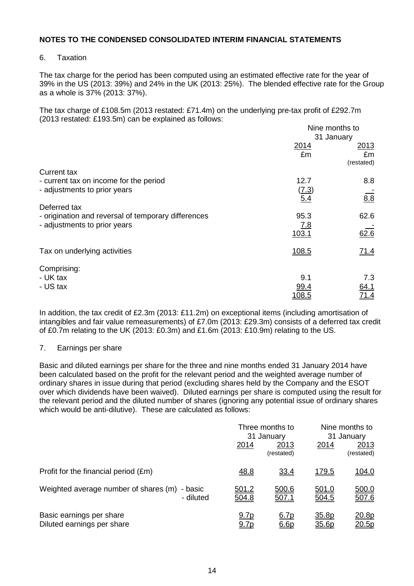## 6. Taxation

The tax charge for the period has been computed using an estimated effective rate for the year of 39% in the US (2013: 39%) and 24% in the UK (2013: 25%). The blended effective rate for the Group as a whole is 37% (2013: 37%).

The tax charge of £108.5m (2013 restated: £71.4m) on the underlying pre-tax profit of £292.7m (2013 restated: £193.5m) can be explained as follows:

|                                                     | Nine months to |             |  |
|-----------------------------------------------------|----------------|-------------|--|
|                                                     |                | 31 January  |  |
|                                                     | 2014           | 2013        |  |
|                                                     | £m             | £m          |  |
|                                                     |                | (restated)  |  |
| <b>Current tax</b>                                  |                |             |  |
| - current tax on income for the period              | 12.7           | 8.8         |  |
| - adjustments to prior years                        | (7.3)          |             |  |
|                                                     | 5.4            | 8.8         |  |
| Deferred tax                                        |                |             |  |
| - origination and reversal of temporary differences | 95.3           | 62.6        |  |
| - adjustments to prior years                        | <u>7.8</u>     |             |  |
|                                                     | 103.1          | 62.6        |  |
|                                                     |                |             |  |
| Tax on underlying activities                        | 108.5          | 71.4        |  |
|                                                     |                |             |  |
| Comprising:                                         |                |             |  |
| - UK tax                                            | 9.1            | 7.3         |  |
| - US tax                                            |                |             |  |
|                                                     | 99.4           | 64.1        |  |
|                                                     | <u> 108.5</u>  | <u>71.4</u> |  |

In addition, the tax credit of £2.3m (2013: £11.2m) on exceptional items (including amortisation of intangibles and fair value remeasurements) of £7.0m (2013: £29.3m) consists of a deferred tax credit of £0.7m relating to the UK (2013: £0.3m) and £1.6m (2013: £10.9m) relating to the US.

#### 7. Earnings per share

Basic and diluted earnings per share for the three and nine months ended 31 January 2014 have been calculated based on the profit for the relevant period and the weighted average number of ordinary shares in issue during that period (excluding shares held by the Company and the ESOT over which dividends have been waived). Diluted earnings per share is computed using the result for the relevant period and the diluted number of shares (ignoring any potential issue of ordinary shares which would be anti-dilutive). These are calculated as follows:

|                                                            |                       | Three months to<br>31 January |                | Nine months to<br>31 January |  |
|------------------------------------------------------------|-----------------------|-------------------------------|----------------|------------------------------|--|
|                                                            | <u>2014</u>           | 2013<br>(restated)            | 2014           | 2013<br>(restated)           |  |
| Profit for the financial period (£m)                       | <u>48.8</u>           | 33.4                          | <u>179.5</u>   | 104.0                        |  |
| Weighted average number of shares (m) - basic<br>- diluted | <u>501.2</u><br>504.8 | 500.6<br>507.1                | 501.0<br>504.5 | 500.0<br>507.6               |  |
| Basic earnings per share<br>Diluted earnings per share     | 9.7p<br>9.7p          | 6.7p<br>6.6p                  | 35.8p<br>35.6p | <u> 20.8p</u><br>20.5p       |  |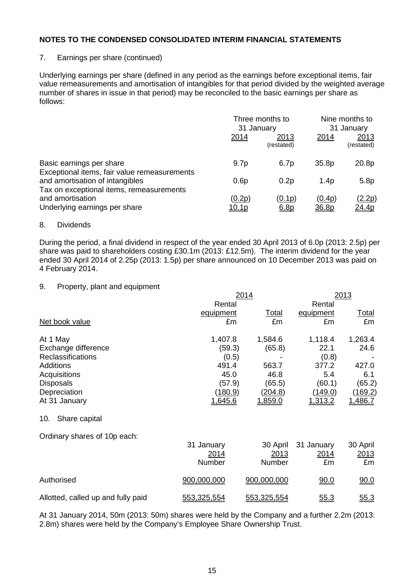## 7. Earnings per share (continued)

Underlying earnings per share (defined in any period as the earnings before exceptional items, fair value remeasurements and amortisation of intangibles for that period divided by the weighted average number of shares in issue in that period) may be reconciled to the basic earnings per share as follows:

|                                                                             | Three months to<br>31 January |                    | Nine months to<br>31 January |                    |
|-----------------------------------------------------------------------------|-------------------------------|--------------------|------------------------------|--------------------|
|                                                                             | 2014                          | 2013<br>(restated) | 2014                         | 2013<br>(restated) |
| Basic earnings per share<br>Exceptional items, fair value remeasurements    | 9.7 <sub>p</sub>              | 6.7p               | 35.8p                        | 20.8p              |
| and amortisation of intangibles<br>Tax on exceptional items, remeasurements | 0.6p                          | 0.2p               | 1.4 <sub>p</sub>             | 5.8p               |
| and amortisation<br>Underlying earnings per share                           | (0.2p)<br><u> 10.1p</u>       | (0.1p)<br>6.8p     | (0.4p)<br>36.8p              | (2.2p)<br>24.4p    |

#### 8. Dividends

During the period, a final dividend in respect of the year ended 30 April 2013 of 6.0p (2013: 2.5p) per share was paid to shareholders costing £30.1m (2013: £12.5m). The interim dividend for the year ended 30 April 2014 of 2.25p (2013: 1.5p) per share announced on 10 December 2013 was paid on 4 February 2014.

#### 9. Property, plant and equipment

|                                    | 2014           | 2013           |                |              |
|------------------------------------|----------------|----------------|----------------|--------------|
|                                    | Rental         |                | Rental         |              |
|                                    | equipment      | <u>Total</u>   | equipment      | <u>Total</u> |
| Net book value                     | £m             | £m             | £m             | £m           |
| At 1 May                           | 1,407.8        | 1,584.6        | 1,118.4        | 1,263.4      |
| Exchange difference                | (59.3)         | (65.8)         | 22.1           | 24.6         |
| <b>Reclassifications</b>           | (0.5)          |                | (0.8)          |              |
| <b>Additions</b>                   | 491.4          | 563.7          | 377.2          | 427.0        |
| Acquisitions                       | 45.0           | 46.8           | 5.4            | 6.1          |
| <b>Disposals</b>                   | (57.9)         | (65.5)         | (60.1)         | (65.2)       |
| Depreciation                       | <u>(180.9)</u> | <u>(204.8)</u> | <u>(149.0)</u> | (169.2)      |
| At 31 January                      | 1,645.6        | 1,859.0        | 1,313.2        | 1,486.7      |
| Share capital<br>10.               |                |                |                |              |
| Ordinary shares of 10p each:       |                |                |                |              |
|                                    | 31 January     | 30 April       | 31 January     | 30 April     |
|                                    | 2014           | 2013           | 2014           | 2013         |
|                                    | Number         | Number         | £m             | £m           |
| Authorised                         | 900,000,000    | 900,000,000    | 90.0           | 90.0         |
| Allotted, called up and fully paid | 553,325,554    | 553,325,554    | 55.3           | 55.3         |

At 31 January 2014, 50m (2013: 50m) shares were held by the Company and a further 2.2m (2013: 2.8m) shares were held by the Company's Employee Share Ownership Trust.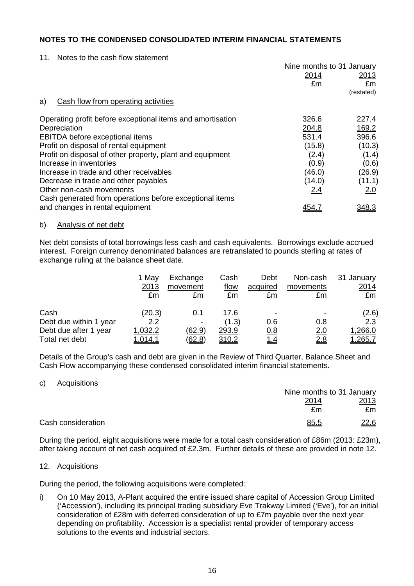11. Notes to the cash flow statement

|                                                                                     | Nine months to 31 January |              |
|-------------------------------------------------------------------------------------|---------------------------|--------------|
|                                                                                     | 2014                      | 2013         |
|                                                                                     | £m                        | £m           |
|                                                                                     |                           | (restated)   |
| Cash flow from operating activities<br>a)                                           |                           |              |
| Operating profit before exceptional items and amortisation                          | 326.6                     | 227.4        |
| Depreciation                                                                        | 204.8                     | 169.2        |
| EBITDA before exceptional items                                                     | 531.4                     | 396.6        |
| Profit on disposal of rental equipment                                              | (15.8)                    | (10.3)       |
| Profit on disposal of other property, plant and equipment                           | (2.4)                     | (1.4)        |
| Increase in inventories                                                             | (0.9)                     | (0.6)        |
| Increase in trade and other receivables                                             | (46.0)                    | (26.9)       |
| Decrease in trade and other payables                                                | (14.0)                    | (11.1)       |
| Other non-cash movements<br>Cash generated from operations before exceptional items | 2.4                       | 2.0          |
| and changes in rental equipment                                                     |                           | <u>348.3</u> |

#### b) Analysis of net debt

Net debt consists of total borrowings less cash and cash equivalents. Borrowings exclude accrued interest. Foreign currency denominated balances are retranslated to pounds sterling at rates of exchange ruling at the balance sheet date.

|                        | 1 May          | Exchange      | Cash         | Debt       | Non-cash   | 31 January     |
|------------------------|----------------|---------------|--------------|------------|------------|----------------|
|                        | 2013           | movement      | flow         | acquired   | movements  | <u>2014</u>    |
|                        | £m             | £m            | £m           | £m         | £m         | £m             |
| Cash                   | (20.3)         | 0.1           | 17.6         | ۰          |            | (2.6)          |
| Debt due within 1 year | 2.2            |               | (1.3)        | 0.6        | 0.8        | 2.3            |
| Debt due after 1 year  | 1,032.2        | <u>(62.9)</u> | 293.9        | 0.8        | <u>2.0</u> | 1,266.0        |
| Total net debt         | <u>1.014.1</u> | <u>(62.8)</u> | <u>310.2</u> | <u>1.4</u> | 2.8        | <u>1,265.7</u> |

Details of the Group's cash and debt are given in the Review of Third Quarter, Balance Sheet and Cash Flow accompanying these condensed consolidated interim financial statements.

#### c) Acquisitions

|                    |              | Nine months to 31 January |
|--------------------|--------------|---------------------------|
|                    | <u> 2014</u> | 2013                      |
|                    | £m           | £m                        |
| Cash consideration | 85.5         | <u>22.6</u>               |

During the period, eight acquisitions were made for a total cash consideration of £86m (2013: £23m), after taking account of net cash acquired of £2.3m. Further details of these are provided in note 12.

#### 12. Acquisitions

During the period, the following acquisitions were completed:

i) On 10 May 2013, A-Plant acquired the entire issued share capital of Accession Group Limited ('Accession'), including its principal trading subsidiary Eve Trakway Limited ('Eve'), for an initial consideration of £28m with deferred consideration of up to £7m payable over the next year depending on profitability. Accession is a specialist rental provider of temporary access solutions to the events and industrial sectors.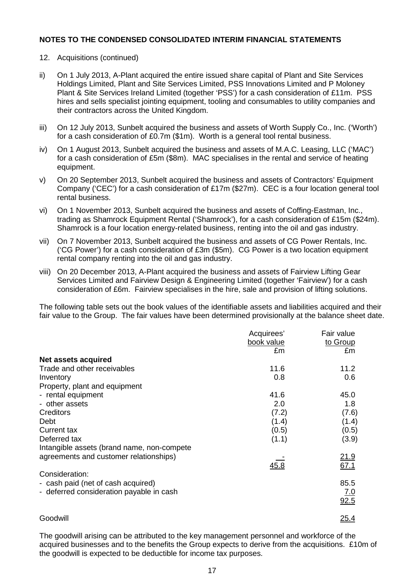### 12. Acquisitions (continued)

- ii) On 1 July 2013, A-Plant acquired the entire issued share capital of Plant and Site Services Holdings Limited, Plant and Site Services Limited, PSS Innovations Limited and P Moloney Plant & Site Services Ireland Limited (together 'PSS') for a cash consideration of £11m. PSS hires and sells specialist jointing equipment, tooling and consumables to utility companies and their contractors across the United Kingdom.
- iii) On 12 July 2013, Sunbelt acquired the business and assets of Worth Supply Co., Inc. ('Worth') for a cash consideration of £0.7m (\$1m). Worth is a general tool rental business.
- iv) On 1 August 2013, Sunbelt acquired the business and assets of M.A.C. Leasing, LLC ('MAC') for a cash consideration of £5m (\$8m). MAC specialises in the rental and service of heating equipment.
- v) On 20 September 2013, Sunbelt acquired the business and assets of Contractors' Equipment Company ('CEC') for a cash consideration of £17m (\$27m). CEC is a four location general tool rental business.
- vi) On 1 November 2013, Sunbelt acquired the business and assets of Coffing-Eastman, Inc., trading as Shamrock Equipment Rental ('Shamrock'), for a cash consideration of £15m (\$24m). Shamrock is a four location energy-related business, renting into the oil and gas industry.
- vii) On 7 November 2013, Sunbelt acquired the business and assets of CG Power Rentals, Inc. ('CG Power') for a cash consideration of £3m (\$5m). CG Power is a two location equipment rental company renting into the oil and gas industry.
- viii) On 20 December 2013, A-Plant acquired the business and assets of Fairview Lifting Gear Services Limited and Fairview Design & Engineering Limited (together 'Fairview') for a cash consideration of £6m. Fairview specialises in the hire, sale and provision of lifting solutions.

The following table sets out the book values of the identifiable assets and liabilities acquired and their fair value to the Group. The fair values have been determined provisionally at the balance sheet date.

|                                            | Acquirees' | Fair value  |
|--------------------------------------------|------------|-------------|
|                                            | book value | to Group    |
|                                            | £m         | £m          |
| <b>Net assets acquired</b>                 |            |             |
| Trade and other receivables                | 11.6       | 11.2        |
| Inventory                                  | 0.8        | 0.6         |
| Property, plant and equipment              |            |             |
| - rental equipment                         | 41.6       | 45.0        |
| - other assets                             | 2.0        | 1.8         |
| Creditors                                  | (7.2)      | (7.6)       |
| Debt                                       | (1.4)      | (1.4)       |
| Current tax                                | (0.5)      | (0.5)       |
| Deferred tax                               | (1.1)      | (3.9)       |
| Intangible assets (brand name, non-compete |            |             |
| agreements and customer relationships)     |            | <u>21.9</u> |
|                                            | 45.8       | 67.1        |
| Consideration:                             |            |             |
| - cash paid (net of cash acquired)         |            | 85.5        |
| - deferred consideration payable in cash   |            | 7.0         |
|                                            |            | 92.5        |
|                                            |            |             |
| Goodwill                                   |            | 25.4        |

The goodwill arising can be attributed to the key management personnel and workforce of the acquired businesses and to the benefits the Group expects to derive from the acquisitions. £10m of the goodwill is expected to be deductible for income tax purposes.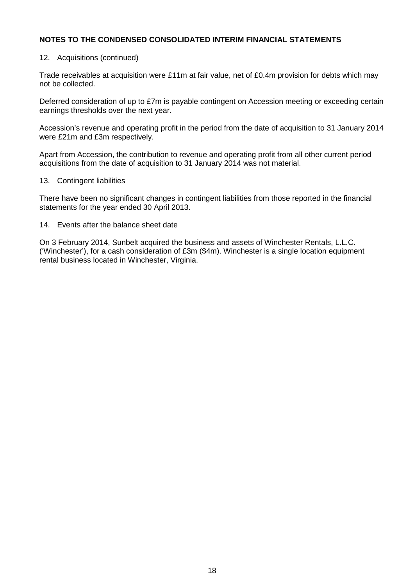### 12. Acquisitions (continued)

Trade receivables at acquisition were £11m at fair value, net of £0.4m provision for debts which may not be collected.

Deferred consideration of up to £7m is payable contingent on Accession meeting or exceeding certain earnings thresholds over the next year.

Accession's revenue and operating profit in the period from the date of acquisition to 31 January 2014 were £21m and £3m respectively.

Apart from Accession, the contribution to revenue and operating profit from all other current period acquisitions from the date of acquisition to 31 January 2014 was not material.

#### 13. Contingent liabilities

There have been no significant changes in contingent liabilities from those reported in the financial statements for the year ended 30 April 2013.

#### 14. Events after the balance sheet date

On 3 February 2014, Sunbelt acquired the business and assets of Winchester Rentals, L.L.C. ('Winchester'), for a cash consideration of £3m (\$4m). Winchester is a single location equipment rental business located in Winchester, Virginia.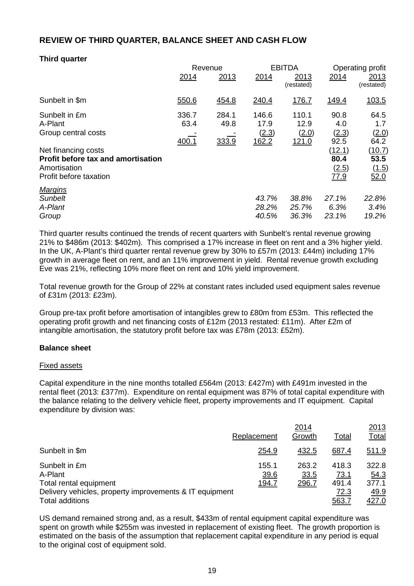## **REVIEW OF THIRD QUARTER, BALANCE SHEET AND CASH FLOW**

## **Third quarter**

|                                           |       | Revenue |              | <b>EBITDA</b> |        | Operating profit |  |
|-------------------------------------------|-------|---------|--------------|---------------|--------|------------------|--|
|                                           | 2014  | 2013    | 2014         | 2013          | 2014   | 2013             |  |
|                                           |       |         |              | (restated)    |        | (restated)       |  |
| Sunbelt in \$m                            | 550.6 | 454.8   | 240.4        | 176.7         | 149.4  | 103.5            |  |
| Sunbelt in £m                             | 336.7 | 284.1   | 146.6        | 110.1         | 90.8   | 64.5             |  |
| A-Plant                                   | 63.4  | 49.8    | 17.9         | 12.9          | 4.0    | 1.7              |  |
| Group central costs                       |       |         | (2.3)        | (2.0)         | (2.3)  | (2.0)            |  |
|                                           | 400.1 | 333.9   | <u>162.2</u> | <u>121.0</u>  | 92.5   | 64.2             |  |
| Net financing costs                       |       |         |              |               | (12.1) | (10.7)           |  |
| <b>Profit before tax and amortisation</b> |       |         |              |               | 80.4   | 53.5             |  |
| Amortisation                              |       |         |              |               | (2.5)  | (1.5)            |  |
| Profit before taxation                    |       |         |              |               | 77.9   | 52.0             |  |
| <b>Margins</b>                            |       |         |              |               |        |                  |  |
| <b>Sunbelt</b>                            |       |         | 43.7%        | 38.8%         | 27.1%  | 22.8%            |  |
| A-Plant                                   |       |         | 28.2%        | 25.7%         | 6.3%   | 3.4%             |  |
| Group                                     |       |         | 40.5%        | 36.3%         | 23.1%  | 19.2%            |  |

Third quarter results continued the trends of recent quarters with Sunbelt's rental revenue growing 21% to \$486m (2013: \$402m). This comprised a 17% increase in fleet on rent and a 3% higher yield. In the UK, A-Plant's third quarter rental revenue grew by 30% to £57m (2013: £44m) including 17% growth in average fleet on rent, and an 11% improvement in yield. Rental revenue growth excluding Eve was 21%, reflecting 10% more fleet on rent and 10% yield improvement.

Total revenue growth for the Group of 22% at constant rates included used equipment sales revenue of £31m (2013: £23m).

Group pre-tax profit before amortisation of intangibles grew to £80m from £53m. This reflected the operating profit growth and net financing costs of £12m (2013 restated: £11m). After £2m of intangible amortisation, the statutory profit before tax was £78m (2013: £52m).

#### **Balance sheet**

#### Fixed assets

Capital expenditure in the nine months totalled £564m (2013: £427m) with £491m invested in the rental fleet (2013: £377m). Expenditure on rental equipment was 87% of total capital expenditure with the balance relating to the delivery vehicle fleet, property improvements and IT equipment. Capital expenditure by division was:

|                                                         |               | 2014          |               | 2013          |
|---------------------------------------------------------|---------------|---------------|---------------|---------------|
|                                                         | Replacement   | Growth        | Total         | <u>Total</u>  |
| Sunbelt in \$m                                          | 254.9         | 432.5         | 687.4         | <u>511.9</u>  |
| Sunbelt in £m<br>A-Plant                                | 155.1<br>39.6 | 263.2<br>33.5 | 418.3<br>73.1 | 322.8<br>54.3 |
| Total rental equipment                                  | <u>194.7</u>  | 296.7         | 491.4         | 377.1         |
| Delivery vehicles, property improvements & IT equipment |               |               | 72.3          | <u>49.9</u>   |
| <b>Total additions</b>                                  |               |               | 563.7         | <u>427.0</u>  |

US demand remained strong and, as a result, \$433m of rental equipment capital expenditure was spent on growth while \$255m was invested in replacement of existing fleet. The growth proportion is estimated on the basis of the assumption that replacement capital expenditure in any period is equal to the original cost of equipment sold.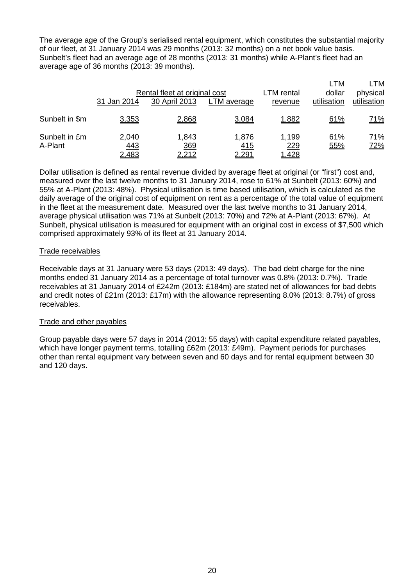The average age of the Group's serialised rental equipment, which constitutes the substantial majority of our fleet, at 31 January 2014 was 29 months (2013: 32 months) on a net book value basis. Sunbelt's fleet had an average age of 28 months (2013: 31 months) while A-Plant's fleet had an average age of 36 months (2013: 39 months).

|                          | Rental fleet at original cost<br>31 Jan 2014<br>30 April 2013<br>LTM average |                              |                       | LTM rental<br>revenue        | <b>LTM</b><br>physical<br>utilisation |                   |
|--------------------------|------------------------------------------------------------------------------|------------------------------|-----------------------|------------------------------|---------------------------------------|-------------------|
| Sunbelt in \$m           | 3,353                                                                        | 2,868                        | 3,084                 | 1,882                        | utilisation<br>61%                    | <u>71%</u>        |
| Sunbelt in £m<br>A-Plant | 2,040<br><u>443</u><br><u>2,483</u>                                          | 1,843<br>369<br><u>2,212</u> | 1,876<br>415<br>2,291 | 1,199<br>229<br><u>1,428</u> | 61%<br>55%                            | 71%<br><u>72%</u> |

Dollar utilisation is defined as rental revenue divided by average fleet at original (or "first") cost and, measured over the last twelve months to 31 January 2014, rose to 61% at Sunbelt (2013: 60%) and 55% at A-Plant (2013: 48%). Physical utilisation is time based utilisation, which is calculated as the daily average of the original cost of equipment on rent as a percentage of the total value of equipment in the fleet at the measurement date. Measured over the last twelve months to 31 January 2014, average physical utilisation was 71% at Sunbelt (2013: 70%) and 72% at A-Plant (2013: 67%). At Sunbelt, physical utilisation is measured for equipment with an original cost in excess of \$7,500 which comprised approximately 93% of its fleet at 31 January 2014.

#### Trade receivables

Receivable days at 31 January were 53 days (2013: 49 days). The bad debt charge for the nine months ended 31 January 2014 as a percentage of total turnover was 0.8% (2013: 0.7%). Trade receivables at 31 January 2014 of £242m (2013: £184m) are stated net of allowances for bad debts and credit notes of £21m (2013: £17m) with the allowance representing 8.0% (2013: 8.7%) of gross receivables.

#### Trade and other payables

Group payable days were 57 days in 2014 (2013: 55 days) with capital expenditure related payables, which have longer payment terms, totalling £62m (2013: £49m). Payment periods for purchases other than rental equipment vary between seven and 60 days and for rental equipment between 30 and 120 days.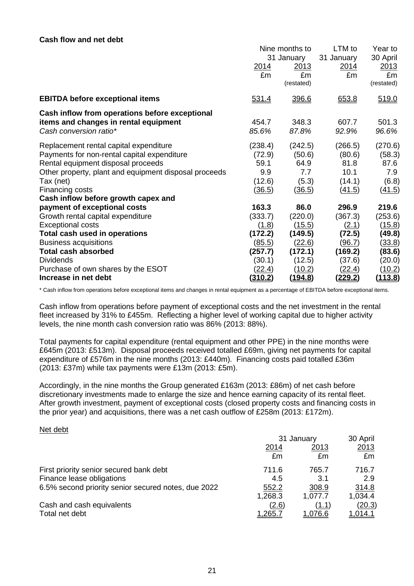#### **Cash flow and net debt**

|                                                       | Nine months to<br>31 January |            | LTM to<br>31 January | Year to<br>30 April |
|-------------------------------------------------------|------------------------------|------------|----------------------|---------------------|
|                                                       |                              |            |                      |                     |
|                                                       | 2014                         | 2013       | 2014                 | 2013                |
|                                                       | £m                           | £m         | £m                   | £m                  |
|                                                       |                              | (restated) |                      | (restated)          |
| <b>EBITDA before exceptional items</b>                | <u>531.4</u>                 | 396.6      | 653.8                | 519.0               |
| Cash inflow from operations before exceptional        |                              |            |                      |                     |
| items and changes in rental equipment                 | 454.7                        | 348.3      | 607.7                | 501.3               |
| Cash conversion ratio*                                | 85.6%                        | 87.8%      | 92.9%                | 96.6%               |
| Replacement rental capital expenditure                | (238.4)                      | (242.5)    | (266.5)              | (270.6)             |
| Payments for non-rental capital expenditure           | (72.9)                       | (50.6)     | (80.6)               | (58.3)              |
| Rental equipment disposal proceeds                    | 59.1                         | 64.9       | 81.8                 | 87.6                |
| Other property, plant and equipment disposal proceeds | 9.9                          | 7.7        | 10.1                 | 7.9                 |
| Tax (net)                                             | (12.6)                       | (5.3)      | (14.1)               | (6.8)               |
| Financing costs                                       | <u>(36.5)</u>                | (36.5)     | (41.5)               | (41.5)              |
| Cash inflow before growth capex and                   |                              |            |                      |                     |
| payment of exceptional costs                          | 163.3                        | 86.0       | 296.9                | 219.6               |
| Growth rental capital expenditure                     | (333.7)                      | (220.0)    | (367.3)              | (253.6)             |
| <b>Exceptional costs</b>                              | (1.8)                        | (15.5)     | (2.1)                | <u>(15.8)</u>       |
| Total cash used in operations                         | (172.2)                      | (149.5)    | (72.5)               | (49.8)              |
| <b>Business acquisitions</b>                          | <u>(85.5)</u>                | (22.6)     | (96.7)               | (33.8)              |
| <b>Total cash absorbed</b>                            | (257.7)                      | (172.1)    | (169.2)              | (83.6)              |
| <b>Dividends</b>                                      | (30.1)                       | (12.5)     | (37.6)               | (20.0)              |
| Purchase of own shares by the ESOT                    | <u>(22.4)</u>                | (10.2)     | (22.4)               | <u>(10.2)</u>       |
| Increase in net debt                                  | <u>(310.2)</u>               | (194.8)    | <u>(229.2)</u>       | <u>(113.8)</u>      |

\* Cash inflow from operations before exceptional items and changes in rental equipment as a percentage of EBITDA before exceptional items.

Cash inflow from operations before payment of exceptional costs and the net investment in the rental fleet increased by 31% to £455m. Reflecting a higher level of working capital due to higher activity levels, the nine month cash conversion ratio was 86% (2013: 88%).

Total payments for capital expenditure (rental equipment and other PPE) in the nine months were £645m (2013: £513m). Disposal proceeds received totalled £69m, giving net payments for capital expenditure of £576m in the nine months (2013: £440m). Financing costs paid totalled £36m (2013: £37m) while tax payments were £13m (2013: £5m).

Accordingly, in the nine months the Group generated £163m (2013: £86m) of net cash before discretionary investments made to enlarge the size and hence earning capacity of its rental fleet. After growth investment, payment of exceptional costs (closed property costs and financing costs in the prior year) and acquisitions, there was a net cash outflow of £258m (2013: £172m).

#### Net debt

|                                                     | 31 January     |                | 30 April       |
|-----------------------------------------------------|----------------|----------------|----------------|
|                                                     | 2014           | 2013           | 2013           |
|                                                     | £m             | £m             | £m             |
| First priority senior secured bank debt             | 711.6          | 765.7          | 716.7          |
| Finance lease obligations                           | 4.5            | 3.1            | 2.9            |
| 6.5% second priority senior secured notes, due 2022 | 552.2          | 308.9          | 314.8          |
|                                                     | 1,268.3        | 1,077.7        | 1,034.4        |
| Cash and cash equivalents                           | (2.6)          | (1.1)          | <u>(20.3)</u>  |
| Total net debt                                      | <u>1,265.7</u> | <u>1.076.6</u> | <u>1.014.1</u> |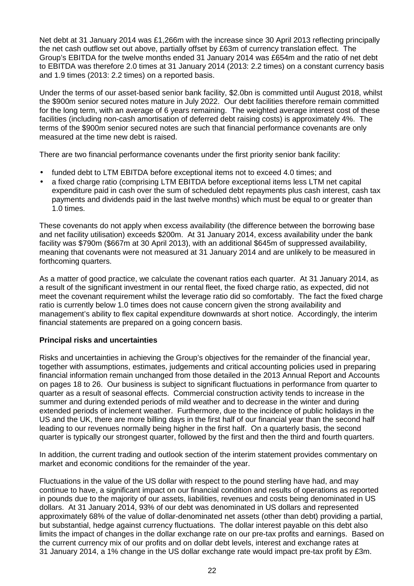Net debt at 31 January 2014 was £1,266m with the increase since 30 April 2013 reflecting principally the net cash outflow set out above, partially offset by £63m of currency translation effect. The Group's EBITDA for the twelve months ended 31 January 2014 was £654m and the ratio of net debt to EBITDA was therefore 2.0 times at 31 January 2014 (2013: 2.2 times) on a constant currency basis and 1.9 times (2013: 2.2 times) on a reported basis.

Under the terms of our asset-based senior bank facility, \$2.0bn is committed until August 2018, whilst the \$900m senior secured notes mature in July 2022. Our debt facilities therefore remain committed for the long term, with an average of 6 years remaining. The weighted average interest cost of these facilities (including non-cash amortisation of deferred debt raising costs) is approximately 4%. The terms of the \$900m senior secured notes are such that financial performance covenants are only measured at the time new debt is raised.

There are two financial performance covenants under the first priority senior bank facility:

- funded debt to LTM EBITDA before exceptional items not to exceed 4.0 times; and
- a fixed charge ratio (comprising LTM EBITDA before exceptional items less LTM net capital expenditure paid in cash over the sum of scheduled debt repayments plus cash interest, cash tax payments and dividends paid in the last twelve months) which must be equal to or greater than 1.0 times.

These covenants do not apply when excess availability (the difference between the borrowing base and net facility utilisation) exceeds \$200m. At 31 January 2014, excess availability under the bank facility was \$790m (\$667m at 30 April 2013), with an additional \$645m of suppressed availability, meaning that covenants were not measured at 31 January 2014 and are unlikely to be measured in forthcoming quarters.

As a matter of good practice, we calculate the covenant ratios each quarter. At 31 January 2014, as a result of the significant investment in our rental fleet, the fixed charge ratio, as expected, did not meet the covenant requirement whilst the leverage ratio did so comfortably. The fact the fixed charge ratio is currently below 1.0 times does not cause concern given the strong availability and management's ability to flex capital expenditure downwards at short notice. Accordingly, the interim financial statements are prepared on a going concern basis.

#### **Principal risks and uncertainties**

Risks and uncertainties in achieving the Group's objectives for the remainder of the financial year, together with assumptions, estimates, judgements and critical accounting policies used in preparing financial information remain unchanged from those detailed in the 2013 Annual Report and Accounts on pages 18 to 26. Our business is subject to significant fluctuations in performance from quarter to quarter as a result of seasonal effects. Commercial construction activity tends to increase in the summer and during extended periods of mild weather and to decrease in the winter and during extended periods of inclement weather. Furthermore, due to the incidence of public holidays in the US and the UK, there are more billing days in the first half of our financial year than the second half leading to our revenues normally being higher in the first half. On a quarterly basis, the second quarter is typically our strongest quarter, followed by the first and then the third and fourth quarters.

In addition, the current trading and outlook section of the interim statement provides commentary on market and economic conditions for the remainder of the year.

Fluctuations in the value of the US dollar with respect to the pound sterling have had, and may continue to have, a significant impact on our financial condition and results of operations as reported in pounds due to the majority of our assets, liabilities, revenues and costs being denominated in US dollars. At 31 January 2014, 93% of our debt was denominated in US dollars and represented approximately 68% of the value of dollar-denominated net assets (other than debt) providing a partial, but substantial, hedge against currency fluctuations. The dollar interest payable on this debt also limits the impact of changes in the dollar exchange rate on our pre-tax profits and earnings. Based on the current currency mix of our profits and on dollar debt levels, interest and exchange rates at 31 January 2014, a 1% change in the US dollar exchange rate would impact pre-tax profit by £3m.